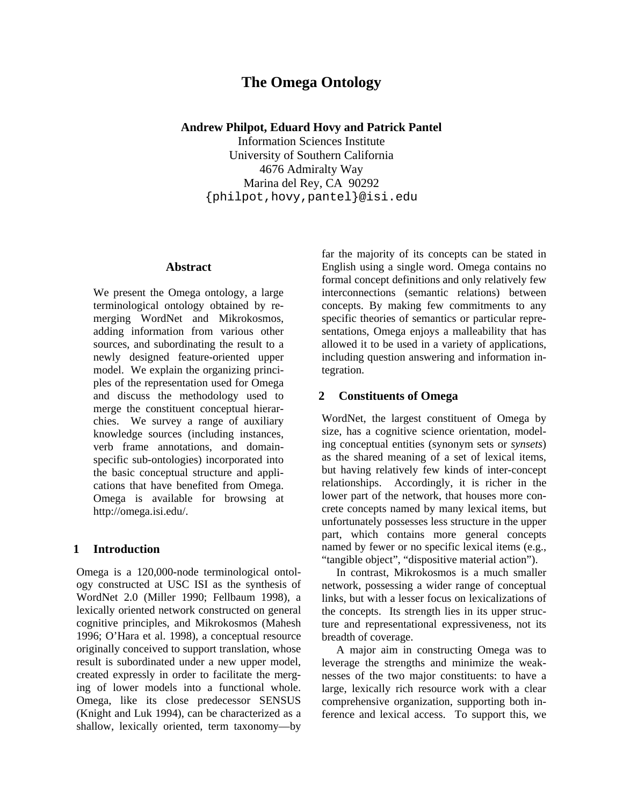# **The Omega Ontology**

## **Andrew Philpot, Eduard Hovy and Patrick Pantel**

Information Sciences Institute University of Southern California 4676 Admiralty Way Marina del Rey, CA 90292 {philpot,hovy,pantel}@isi.edu

### **Abstract**

We present the Omega ontology, a large terminological ontology obtained by remerging WordNet and Mikrokosmos, adding information from various other sources, and subordinating the result to a newly designed feature-oriented upper model. We explain the organizing principles of the representation used for Omega and discuss the methodology used to merge the constituent conceptual hierarchies. We survey a range of auxiliary knowledge sources (including instances, verb frame annotations, and domainspecific sub-ontologies) incorporated into the basic conceptual structure and applications that have benefited from Omega. Omega is available for browsing at http://omega.isi.edu/.

### **1 Introduction**

Omega is a 120,000-node terminological ontology constructed at USC ISI as the synthesis of WordNet 2.0 (Miller 1990; Fellbaum 1998), a lexically oriented network constructed on general cognitive principles, and Mikrokosmos (Mahesh 1996; O'Hara et al. 1998), a conceptual resource originally conceived to support translation, whose result is subordinated under a new upper model, created expressly in order to facilitate the merging of lower models into a functional whole. Omega, like its close predecessor SENSUS (Knight and Luk 1994), can be characterized as a shallow, lexically oriented, term taxonomy—by far the majority of its concepts can be stated in English using a single word. Omega contains no formal concept definitions and only relatively few interconnections (semantic relations) between concepts. By making few commitments to any specific theories of semantics or particular representations, Omega enjoys a malleability that has allowed it to be used in a variety of applications, including question answering and information integration.

### **2 Constituents of Omega**

WordNet, the largest constituent of Omega by size, has a cognitive science orientation, modeling conceptual entities (synonym sets or *synsets*) as the shared meaning of a set of lexical items, but having relatively few kinds of inter-concept relationships. Accordingly, it is richer in the lower part of the network, that houses more concrete concepts named by many lexical items, but unfortunately possesses less structure in the upper part, which contains more general concepts named by fewer or no specific lexical items (e.g., "tangible object", "dispositive material action").

In contrast, Mikrokosmos is a much smaller network, possessing a wider range of conceptual links, but with a lesser focus on lexicalizations of the concepts. Its strength lies in its upper structure and representational expressiveness, not its breadth of coverage.

A major aim in constructing Omega was to leverage the strengths and minimize the weaknesses of the two major constituents: to have a large, lexically rich resource work with a clear comprehensive organization, supporting both inference and lexical access. To support this, we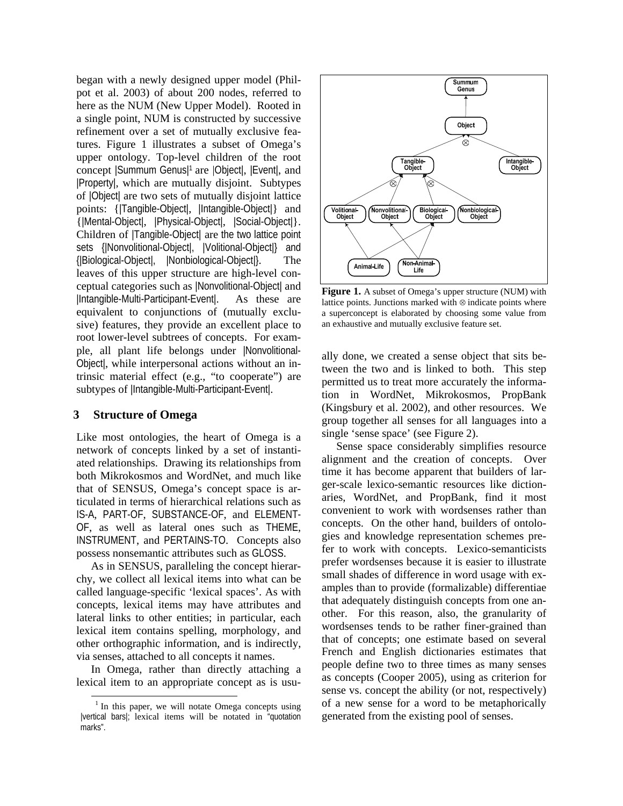began with a newly designed upper model (Philpot et al. 2003) of about 200 nodes, referred to here as the NUM (New Upper Model). Rooted in a single point, NUM is constructed by successive refinement over a set of mutually exclusive features. Figure 1 illustrates a subset of Omega's upper ontology. Top-level children of the root concept |Summum Genus|1 are |Object|, |Event|, and |Property|, which are mutually disjoint. Subtypes of |Object| are two sets of mutually disjoint lattice points: {|Tangible-Object|, |Intangible-Object|} and {|Mental-Object|, |Physical-Object|, |Social-Object|}. Children of |Tangible-Object| are the two lattice point sets {|Nonvolitional-Object|, |Volitional-Object|} and {|Biological-Object|, |Nonbiological-Object|}. The leaves of this upper structure are high-level conceptual categories such as |Nonvolitional-Object| and |Intangible-Multi-Participant-Event|. As these are equivalent to conjunctions of (mutually exclusive) features, they provide an excellent place to root lower-level subtrees of concepts. For example, all plant life belongs under |Nonvolitional-Object|, while interpersonal actions without an intrinsic material effect (e.g., "to cooperate") are subtypes of |Intangible-Multi-Participant-Event|.

### **3 Structure of Omega**

-

Like most ontologies, the heart of Omega is a network of concepts linked by a set of instantiated relationships. Drawing its relationships from both Mikrokosmos and WordNet, and much like that of SENSUS, Omega's concept space is articulated in terms of hierarchical relations such as IS-A, PART-OF, SUBSTANCE-OF, and ELEMENT-OF, as well as lateral ones such as THEME, INSTRUMENT, and PERTAINS-TO. Concepts also possess nonsemantic attributes such as GLOSS.

As in SENSUS, paralleling the concept hierarchy, we collect all lexical items into what can be called language-specific 'lexical spaces'. As with concepts, lexical items may have attributes and lateral links to other entities; in particular, each lexical item contains spelling, morphology, and other orthographic information, and is indirectly, via senses, attached to all concepts it names.

In Omega, rather than directly attaching a lexical item to an appropriate concept as is usu-



**Figure 1.** A subset of Omega's upper structure (NUM) with lattice points. Junctions marked with ⊗ indicate points where a superconcept is elaborated by choosing some value from an exhaustive and mutually exclusive feature set.

ally done, we created a sense object that sits between the two and is linked to both. This step permitted us to treat more accurately the information in WordNet, Mikrokosmos, PropBank (Kingsbury et al. 2002), and other resources. We group together all senses for all languages into a single 'sense space' (see Figure 2).

Sense space considerably simplifies resource alignment and the creation of concepts. Over time it has become apparent that builders of larger-scale lexico-semantic resources like dictionaries, WordNet, and PropBank, find it most convenient to work with wordsenses rather than concepts. On the other hand, builders of ontologies and knowledge representation schemes prefer to work with concepts. Lexico-semanticists prefer wordsenses because it is easier to illustrate small shades of difference in word usage with examples than to provide (formalizable) differentiae that adequately distinguish concepts from one another. For this reason, also, the granularity of wordsenses tends to be rather finer-grained than that of concepts; one estimate based on several French and English dictionaries estimates that people define two to three times as many senses as concepts (Cooper 2005), using as criterion for sense vs. concept the ability (or not, respectively) of a new sense for a word to be metaphorically generated from the existing pool of senses.

<sup>&</sup>lt;sup>1</sup> In this paper, we will notate Omega concepts using |vertical bars|; lexical items will be notated in "quotation marks".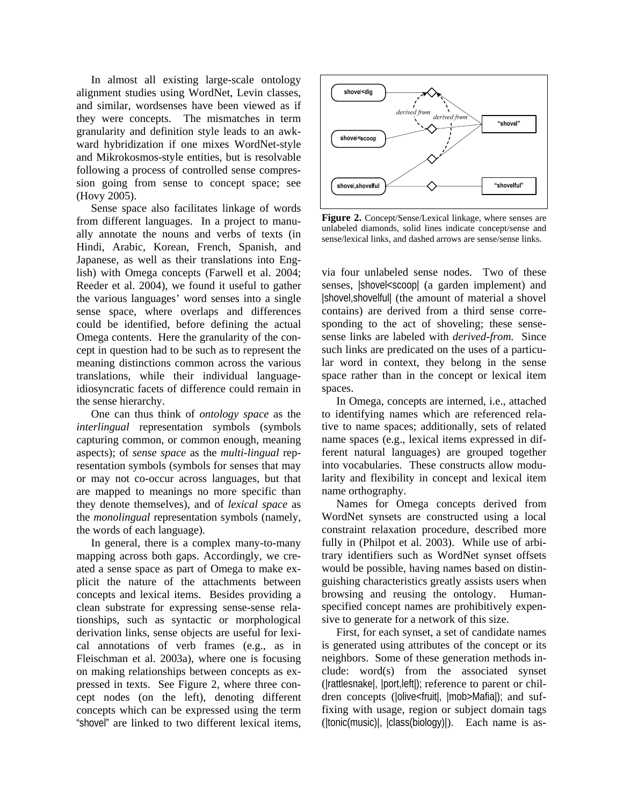In almost all existing large-scale ontology alignment studies using WordNet, Levin classes, and similar, wordsenses have been viewed as if they were concepts. The mismatches in term granularity and definition style leads to an awkward hybridization if one mixes WordNet-style and Mikrokosmos-style entities, but is resolvable following a process of controlled sense compression going from sense to concept space; see (Hovy 2005).

Sense space also facilitates linkage of words from different languages. In a project to manually annotate the nouns and verbs of texts (in Hindi, Arabic, Korean, French, Spanish, and Japanese, as well as their translations into English) with Omega concepts (Farwell et al. 2004; Reeder et al. 2004), we found it useful to gather the various languages' word senses into a single sense space, where overlaps and differences could be identified, before defining the actual Omega contents. Here the granularity of the concept in question had to be such as to represent the meaning distinctions common across the various translations, while their individual languageidiosyncratic facets of difference could remain in the sense hierarchy.

One can thus think of *ontology space* as the *interlingual* representation symbols (symbols capturing common, or common enough, meaning aspects); of *sense space* as the *multi-lingual* representation symbols (symbols for senses that may or may not co-occur across languages, but that are mapped to meanings no more specific than they denote themselves), and of *lexical space* as the *monolingual* representation symbols (namely, the words of each language).

In general, there is a complex many-to-many mapping across both gaps. Accordingly, we created a sense space as part of Omega to make explicit the nature of the attachments between concepts and lexical items. Besides providing a clean substrate for expressing sense-sense relationships, such as syntactic or morphological derivation links, sense objects are useful for lexical annotations of verb frames (e.g., as in Fleischman et al. 2003a), where one is focusing on making relationships between concepts as expressed in texts. See Figure 2, where three concept nodes (on the left), denoting different concepts which can be expressed using the term "shovel" are linked to two different lexical items,



**Figure 2.** Concept/Sense/Lexical linkage, where senses are unlabeled diamonds, solid lines indicate concept/sense and sense/lexical links, and dashed arrows are sense/sense links.

via four unlabeled sense nodes. Two of these senses, |shovel<scoop| (a garden implement) and |shovel,shovelful| (the amount of material a shovel contains) are derived from a third sense corresponding to the act of shoveling; these sensesense links are labeled with *derived-from.* Since such links are predicated on the uses of a particular word in context, they belong in the sense space rather than in the concept or lexical item spaces.

In Omega, concepts are interned, i.e., attached to identifying names which are referenced relative to name spaces; additionally, sets of related name spaces (e.g., lexical items expressed in different natural languages) are grouped together into vocabularies. These constructs allow modularity and flexibility in concept and lexical item name orthography.

Names for Omega concepts derived from WordNet synsets are constructed using a local constraint relaxation procedure, described more fully in (Philpot et al. 2003). While use of arbitrary identifiers such as WordNet synset offsets would be possible, having names based on distinguishing characteristics greatly assists users when browsing and reusing the ontology. Humanspecified concept names are prohibitively expensive to generate for a network of this size.

First, for each synset, a set of candidate names is generated using attributes of the concept or its neighbors. Some of these generation methods include: word(s) from the associated synset (|rattlesnake|, |port,left|); reference to parent or children concepts (|olive<fruit|, |mob>Mafia|); and suffixing with usage, region or subject domain tags (|tonic(music)|, |class(biology)|). Each name is as-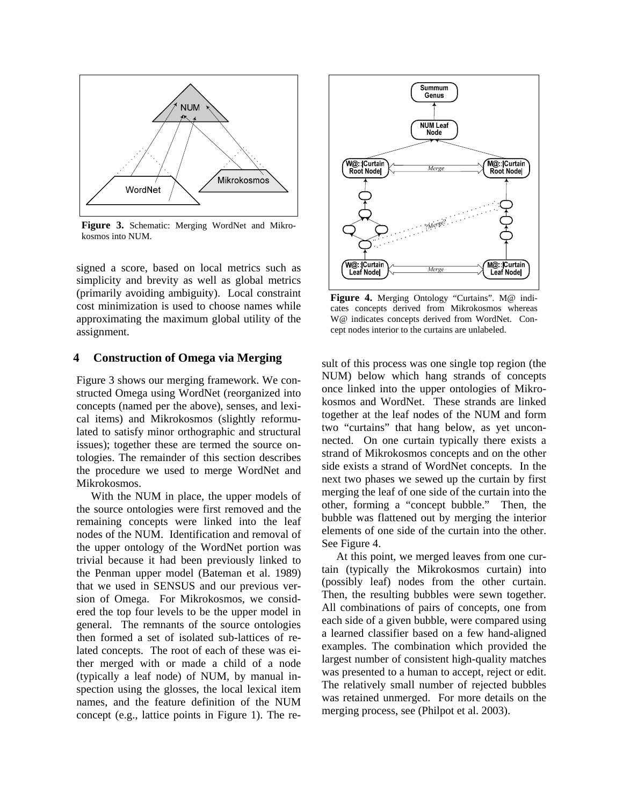

**Figure 3.** Schematic: Merging WordNet and Mikrokosmos into NUM.

signed a score, based on local metrics such as simplicity and brevity as well as global metrics (primarily avoiding ambiguity). Local constraint cost minimization is used to choose names while approximating the maximum global utility of the assignment.

### **4 Construction of Omega via Merging**

Figure 3 shows our merging framework. We constructed Omega using WordNet (reorganized into concepts (named per the above), senses, and lexical items) and Mikrokosmos (slightly reformulated to satisfy minor orthographic and structural issues); together these are termed the source ontologies. The remainder of this section describes the procedure we used to merge WordNet and Mikrokosmos.

With the NUM in place, the upper models of the source ontologies were first removed and the remaining concepts were linked into the leaf nodes of the NUM. Identification and removal of the upper ontology of the WordNet portion was trivial because it had been previously linked to the Penman upper model (Bateman et al. 1989) that we used in SENSUS and our previous version of Omega. For Mikrokosmos, we considered the top four levels to be the upper model in general. The remnants of the source ontologies then formed a set of isolated sub-lattices of related concepts. The root of each of these was either merged with or made a child of a node (typically a leaf node) of NUM, by manual inspection using the glosses, the local lexical item names, and the feature definition of the NUM concept (e.g., lattice points in Figure 1). The re-



Figure 4. Merging Ontology "Curtains". M@ indicates concepts derived from Mikrokosmos whereas W@ indicates concepts derived from WordNet. Concept nodes interior to the curtains are unlabeled.

sult of this process was one single top region (the NUM) below which hang strands of concepts once linked into the upper ontologies of Mikrokosmos and WordNet. These strands are linked together at the leaf nodes of the NUM and form two "curtains" that hang below, as yet unconnected. On one curtain typically there exists a strand of Mikrokosmos concepts and on the other side exists a strand of WordNet concepts. In the next two phases we sewed up the curtain by first merging the leaf of one side of the curtain into the other, forming a "concept bubble." Then, the bubble was flattened out by merging the interior elements of one side of the curtain into the other. See Figure 4.

At this point, we merged leaves from one curtain (typically the Mikrokosmos curtain) into (possibly leaf) nodes from the other curtain. Then, the resulting bubbles were sewn together. All combinations of pairs of concepts, one from each side of a given bubble, were compared using a learned classifier based on a few hand-aligned examples. The combination which provided the largest number of consistent high-quality matches was presented to a human to accept, reject or edit. The relatively small number of rejected bubbles was retained unmerged. For more details on the merging process, see (Philpot et al. 2003).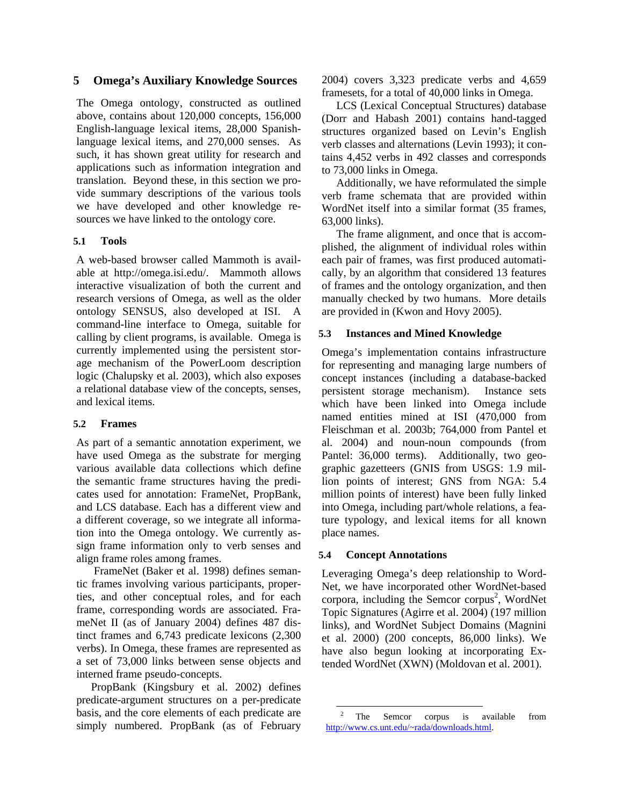### **5 Omega's Auxiliary Knowledge Sources**

The Omega ontology, constructed as outlined above, contains about 120,000 concepts, 156,000 English-language lexical items, 28,000 Spanishlanguage lexical items, and 270,000 senses. As such, it has shown great utility for research and applications such as information integration and translation. Beyond these, in this section we provide summary descriptions of the various tools we have developed and other knowledge resources we have linked to the ontology core.

### **5.1 Tools**

A web-based browser called Mammoth is available at http://omega.isi.edu/. Mammoth allows interactive visualization of both the current and research versions of Omega, as well as the older ontology SENSUS, also developed at ISI. A command-line interface to Omega, suitable for calling by client programs, is available. Omega is currently implemented using the persistent storage mechanism of the PowerLoom description logic (Chalupsky et al. 2003), which also exposes a relational database view of the concepts, senses, and lexical items.

#### **5.2 Frames**

As part of a semantic annotation experiment, we have used Omega as the substrate for merging various available data collections which define the semantic frame structures having the predicates used for annotation: FrameNet, PropBank, and LCS database. Each has a different view and a different coverage, so we integrate all information into the Omega ontology. We currently assign frame information only to verb senses and align frame roles among frames.

 FrameNet (Baker et al. 1998) defines semantic frames involving various participants, properties, and other conceptual roles, and for each frame, corresponding words are associated. FrameNet II (as of January 2004) defines 487 distinct frames and 6,743 predicate lexicons (2,300 verbs). In Omega, these frames are represented as a set of 73,000 links between sense objects and interned frame pseudo-concepts.

PropBank (Kingsbury et al. 2002) defines predicate-argument structures on a per-predicate basis, and the core elements of each predicate are simply numbered. PropBank (as of February 2004) covers 3,323 predicate verbs and 4,659 framesets, for a total of 40,000 links in Omega.

LCS (Lexical Conceptual Structures) database (Dorr and Habash 2001) contains hand-tagged structures organized based on Levin's English verb classes and alternations (Levin 1993); it contains 4,452 verbs in 492 classes and corresponds to 73,000 links in Omega.

Additionally, we have reformulated the simple verb frame schemata that are provided within WordNet itself into a similar format (35 frames, 63,000 links).

The frame alignment, and once that is accomplished, the alignment of individual roles within each pair of frames, was first produced automatically, by an algorithm that considered 13 features of frames and the ontology organization, and then manually checked by two humans. More details are provided in (Kwon and Hovy 2005).

#### **5.3 Instances and Mined Knowledge**

Omega's implementation contains infrastructure for representing and managing large numbers of concept instances (including a database-backed persistent storage mechanism). Instance sets which have been linked into Omega include named entities mined at ISI (470,000 from Fleischman et al. 2003b; 764,000 from Pantel et al. 2004) and noun-noun compounds (from Pantel: 36,000 terms). Additionally, two geographic gazetteers (GNIS from USGS: 1.9 million points of interest; GNS from NGA: 5.4 million points of interest) have been fully linked into Omega, including part/whole relations, a feature typology, and lexical items for all known place names.

#### **5.4 Concept Annotations**

l

Leveraging Omega's deep relationship to Word-Net, we have incorporated other WordNet-based corpora, including the Semcor corpus<sup>2</sup>, WordNet Topic Signatures (Agirre et al. 2004) (197 million links), and WordNet Subject Domains (Magnini et al. 2000) (200 concepts, 86,000 links). We have also begun looking at incorporating Extended WordNet (XWN) (Moldovan et al. 2001).

The Semcor corpus is available from http://www.cs.unt.edu/~rada/downloads.html.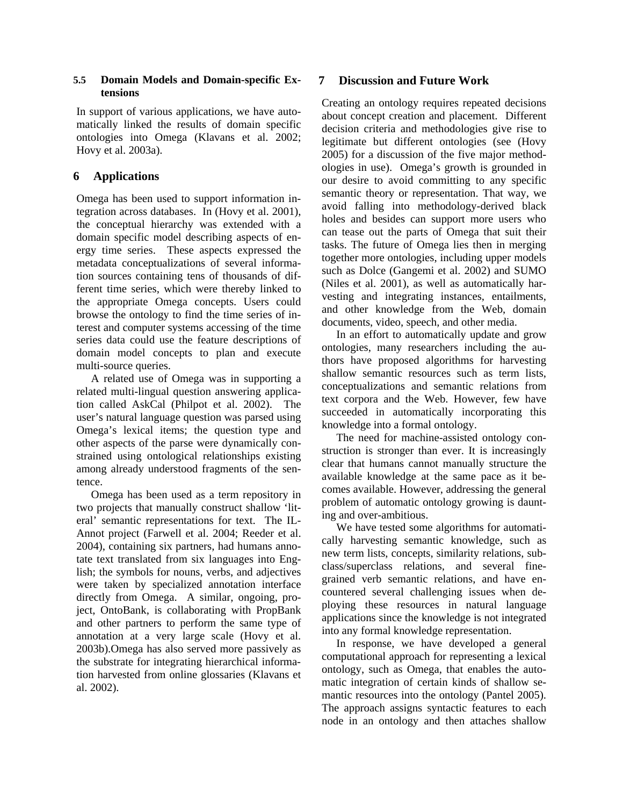### **5.5 Domain Models and Domain-specific Extensions**

In support of various applications, we have automatically linked the results of domain specific ontologies into Omega (Klavans et al. 2002; Hovy et al. 2003a).

# **6 Applications**

Omega has been used to support information integration across databases. In (Hovy et al. 2001), the conceptual hierarchy was extended with a domain specific model describing aspects of energy time series. These aspects expressed the metadata conceptualizations of several information sources containing tens of thousands of different time series, which were thereby linked to the appropriate Omega concepts. Users could browse the ontology to find the time series of interest and computer systems accessing of the time series data could use the feature descriptions of domain model concepts to plan and execute multi-source queries.

A related use of Omega was in supporting a related multi-lingual question answering application called AskCal (Philpot et al. 2002). The user's natural language question was parsed using Omega's lexical items; the question type and other aspects of the parse were dynamically constrained using ontological relationships existing among already understood fragments of the sentence.

Omega has been used as a term repository in two projects that manually construct shallow 'literal' semantic representations for text. The IL-Annot project (Farwell et al. 2004; Reeder et al. 2004), containing six partners, had humans annotate text translated from six languages into English; the symbols for nouns, verbs, and adjectives were taken by specialized annotation interface directly from Omega. A similar, ongoing, project, OntoBank, is collaborating with PropBank and other partners to perform the same type of annotation at a very large scale (Hovy et al. 2003b).Omega has also served more passively as the substrate for integrating hierarchical information harvested from online glossaries (Klavans et al. 2002).

### **7 Discussion and Future Work**

Creating an ontology requires repeated decisions about concept creation and placement. Different decision criteria and methodologies give rise to legitimate but different ontologies (see (Hovy 2005) for a discussion of the five major methodologies in use). Omega's growth is grounded in our desire to avoid committing to any specific semantic theory or representation. That way, we avoid falling into methodology-derived black holes and besides can support more users who can tease out the parts of Omega that suit their tasks. The future of Omega lies then in merging together more ontologies, including upper models such as Dolce (Gangemi et al. 2002) and SUMO (Niles et al. 2001), as well as automatically harvesting and integrating instances, entailments, and other knowledge from the Web, domain documents, video, speech, and other media.

In an effort to automatically update and grow ontologies, many researchers including the authors have proposed algorithms for harvesting shallow semantic resources such as term lists, conceptualizations and semantic relations from text corpora and the Web. However, few have succeeded in automatically incorporating this knowledge into a formal ontology.

The need for machine-assisted ontology construction is stronger than ever. It is increasingly clear that humans cannot manually structure the available knowledge at the same pace as it becomes available. However, addressing the general problem of automatic ontology growing is daunting and over-ambitious.

We have tested some algorithms for automatically harvesting semantic knowledge, such as new term lists, concepts, similarity relations, subclass/superclass relations, and several finegrained verb semantic relations, and have encountered several challenging issues when deploying these resources in natural language applications since the knowledge is not integrated into any formal knowledge representation.

In response, we have developed a general computational approach for representing a lexical ontology, such as Omega, that enables the automatic integration of certain kinds of shallow semantic resources into the ontology (Pantel 2005). The approach assigns syntactic features to each node in an ontology and then attaches shallow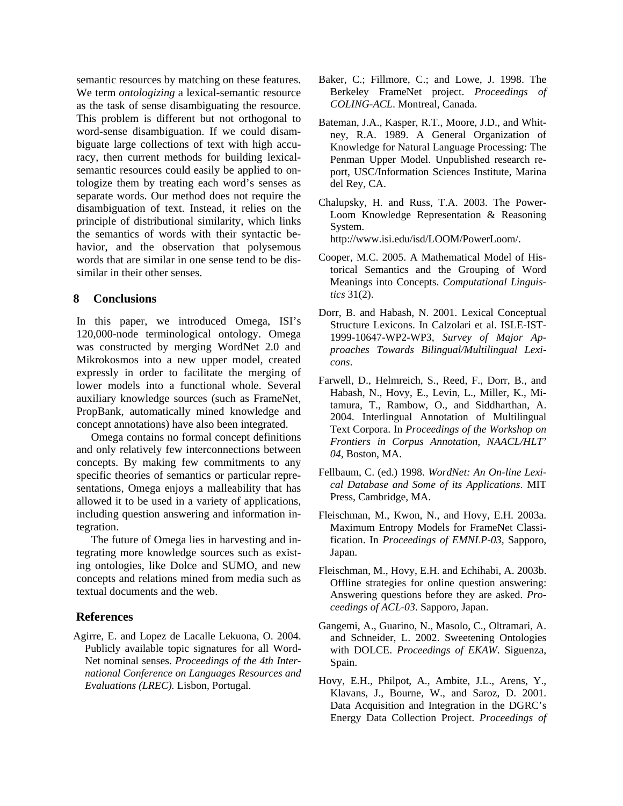semantic resources by matching on these features. We term *ontologizing* a lexical-semantic resource as the task of sense disambiguating the resource. This problem is different but not orthogonal to word-sense disambiguation. If we could disambiguate large collections of text with high accuracy, then current methods for building lexicalsemantic resources could easily be applied to ontologize them by treating each word's senses as separate words. Our method does not require the disambiguation of text. Instead, it relies on the principle of distributional similarity, which links the semantics of words with their syntactic behavior, and the observation that polysemous words that are similar in one sense tend to be dissimilar in their other senses.

#### **8 Conclusions**

In this paper, we introduced Omega, ISI's 120,000-node terminological ontology. Omega was constructed by merging WordNet 2.0 and Mikrokosmos into a new upper model, created expressly in order to facilitate the merging of lower models into a functional whole. Several auxiliary knowledge sources (such as FrameNet, PropBank, automatically mined knowledge and concept annotations) have also been integrated.

Omega contains no formal concept definitions and only relatively few interconnections between concepts. By making few commitments to any specific theories of semantics or particular representations, Omega enjoys a malleability that has allowed it to be used in a variety of applications, including question answering and information integration.

The future of Omega lies in harvesting and integrating more knowledge sources such as existing ontologies, like Dolce and SUMO, and new concepts and relations mined from media such as textual documents and the web.

#### **References**

Agirre, E. and Lopez de Lacalle Lekuona, O. 2004. Publicly available topic signatures for all Word-Net nominal senses. *Proceedings of the 4th International Conference on Languages Resources and Evaluations (LREC).* Lisbon, Portugal.

- Baker, C.; Fillmore, C.; and Lowe, J. 1998. The Berkeley FrameNet project. *Proceedings of COLING-ACL*. Montreal, Canada.
- Bateman, J.A., Kasper, R.T., Moore, J.D., and Whitney, R.A. 1989. A General Organization of Knowledge for Natural Language Processing: The Penman Upper Model. Unpublished research report, USC/Information Sciences Institute, Marina del Rey, CA.
- Chalupsky, H. and Russ, T.A. 2003. The Power-Loom Knowledge Representation & Reasoning System.

http://www.isi.edu/isd/LOOM/PowerLoom/.

- Cooper, M.C. 2005. A Mathematical Model of Historical Semantics and the Grouping of Word Meanings into Concepts. *Computational Linguistics* 31(2).
- Dorr, B. and Habash, N. 2001. Lexical Conceptual Structure Lexicons. In Calzolari et al. ISLE-IST-1999-10647-WP2-WP3, *Survey of Major Approaches Towards Bilingual/Multilingual Lexicons*.
- Farwell, D., Helmreich, S., Reed, F., Dorr, B., and Habash, N., Hovy, E., Levin, L., Miller, K., Mitamura, T., Rambow, O., and Siddharthan, A. 2004. Interlingual Annotation of Multilingual Text Corpora. In *Proceedings of the Workshop on Frontiers in Corpus Annotation, NAACL/HLT' 04*, Boston, MA.
- Fellbaum, C. (ed.) 1998. *WordNet: An On-line Lexical Database and Some of its Applications*. MIT Press, Cambridge, MA.
- Fleischman, M., Kwon, N., and Hovy, E.H. 2003a. Maximum Entropy Models for FrameNet Classification. In *Proceedings of EMNLP-03,* Sapporo, Japan.
- Fleischman, M., Hovy, E.H. and Echihabi, A. 2003b. Offline strategies for online question answering: Answering questions before they are asked. *Proceedings of ACL-03*. Sapporo, Japan.
- Gangemi, A., Guarino, N., Masolo, C., Oltramari, A. and Schneider, L. 2002. Sweetening Ontologies with DOLCE. *Proceedings of EKAW*. Siguenza, Spain.
- Hovy, E.H., Philpot, A., Ambite, J.L., Arens, Y., Klavans, J., Bourne, W., and Saroz, D. 2001. Data Acquisition and Integration in the DGRC's Energy Data Collection Project. *Proceedings of*